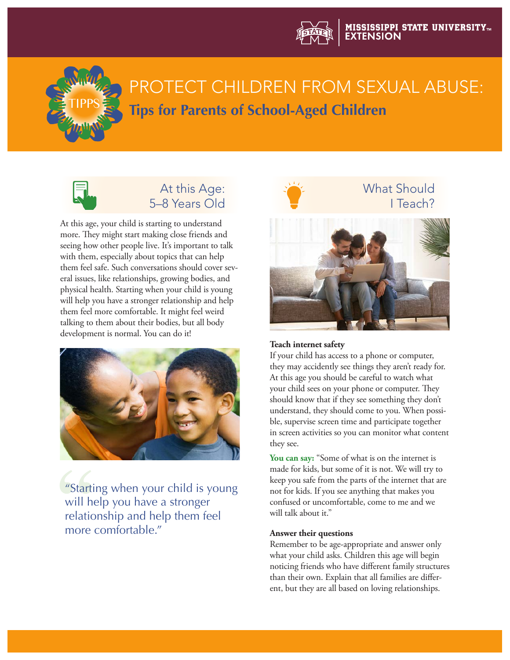



# PROTECT CHILDREN FROM SEXUAL ABUSE: **Tips for Parents of School-Aged Children**



# At this Age: 5–8 Years Old

At this age, your child is starting to understand more. They might start making close friends and seeing how other people live. It's important to talk with them, especially about topics that can help them feel safe. Such conversations should cover several issues, like relationships, growing bodies, and physical health. Starting when your child is young will help you have a stronger relationship and help them feel more comfortable. It might feel weird talking to them about their bodies, but all body development is normal. You can do it!



"Starting when your child is young will help you have a stronger relationship and help them feel more comfortable."



### **Teach internet safety**

If your child has access to a phone or computer, they may accidently see things they aren't ready for. At this age you should be careful to watch what your child sees on your phone or computer. They should know that if they see something they don't understand, they should come to you. When possible, supervise screen time and participate together in screen activities so you can monitor what content they see.

**You can say:** "Some of what is on the internet is made for kids, but some of it is not. We will try to keep you safe from the parts of the internet that are not for kids. If you see anything that makes you confused or uncomfortable, come to me and we will talk about it."

#### **Answer their questions**

Remember to be age-appropriate and answer only what your child asks. Children this age will begin noticing friends who have different family structures than their own. Explain that all families are different, but they are all based on loving relationships.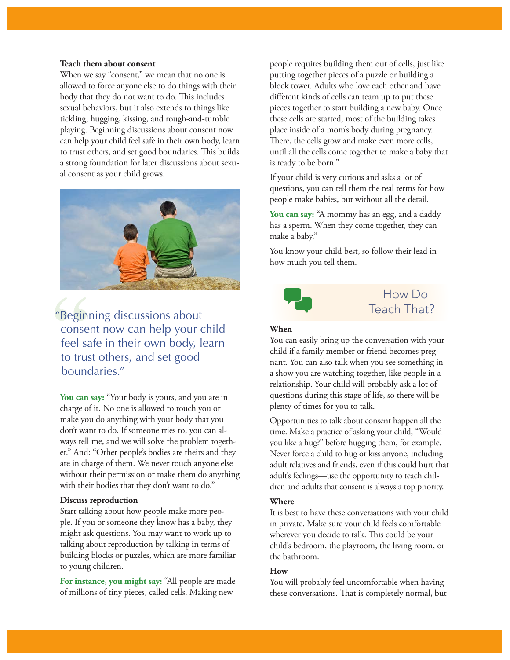#### **Teach them about consent**

When we say "consent," we mean that no one is allowed to force anyone else to do things with their body that they do not want to do. This includes sexual behaviors, but it also extends to things like tickling, hugging, kissing, and rough-and-tumble playing. Beginning discussions about consent now can help your child feel safe in their own body, learn to trust others, and set good boundaries. This builds a strong foundation for later discussions about sexual consent as your child grows.



"Beginning discussions about consent now can help your child feel safe in their own body, learn to trust others, and set good boundaries."

**You can say:** "Your body is yours, and you are in charge of it. No one is allowed to touch you or make you do anything with your body that you don't want to do. If someone tries to, you can always tell me, and we will solve the problem together." And: "Other people's bodies are theirs and they are in charge of them. We never touch anyone else without their permission or make them do anything with their bodies that they don't want to do."

#### **Discuss reproduction**

Start talking about how people make more people. If you or someone they know has a baby, they might ask questions. You may want to work up to talking about reproduction by talking in terms of building blocks or puzzles, which are more familiar to young children.

**For instance, you might say:** "All people are made of millions of tiny pieces, called cells. Making new

people requires building them out of cells, just like putting together pieces of a puzzle or building a block tower. Adults who love each other and have different kinds of cells can team up to put these pieces together to start building a new baby. Once these cells are started, most of the building takes place inside of a mom's body during pregnancy. There, the cells grow and make even more cells, until all the cells come together to make a baby that is ready to be born."

If your child is very curious and asks a lot of questions, you can tell them the real terms for how people make babies, but without all the detail.

**You can say:** "A mommy has an egg, and a daddy has a sperm. When they come together, they can make a baby."

You know your child best, so follow their lead in how much you tell them.



## How Do I Teach That?

#### **When**

You can easily bring up the conversation with your child if a family member or friend becomes pregnant. You can also talk when you see something in a show you are watching together, like people in a relationship. Your child will probably ask a lot of questions during this stage of life, so there will be plenty of times for you to talk.

Opportunities to talk about consent happen all the time. Make a practice of asking your child, "Would you like a hug?" before hugging them, for example. Never force a child to hug or kiss anyone, including adult relatives and friends, even if this could hurt that adult's feelings—use the opportunity to teach children and adults that consent is always a top priority.

#### **Where**

It is best to have these conversations with your child in private. Make sure your child feels comfortable wherever you decide to talk. This could be your child's bedroom, the playroom, the living room, or the bathroom.

#### **How**

You will probably feel uncomfortable when having these conversations. That is completely normal, but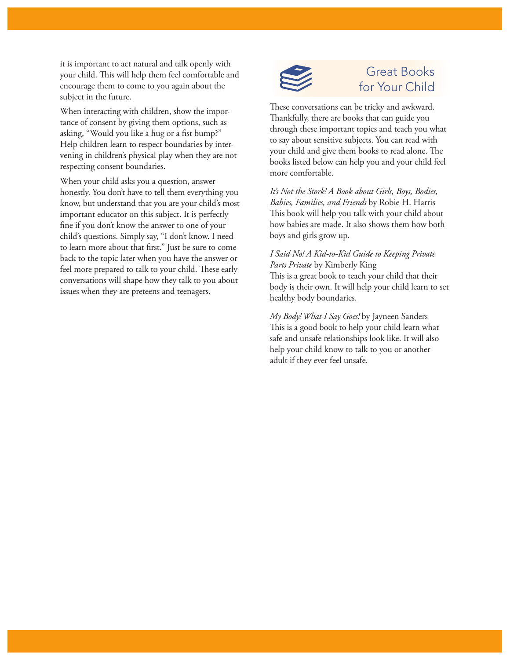it is important to act natural and talk openly with your child. This will help them feel comfortable and encourage them to come to you again about the subject in the future.

When interacting with children, show the importance of consent by giving them options, such as asking, "Would you like a hug or a fist bump?" Help children learn to respect boundaries by intervening in children's physical play when they are not respecting consent boundaries.

When your child asks you a question, answer honestly. You don't have to tell them everything you know, but understand that you are your child's most important educator on this subject. It is perfectly fine if you don't know the answer to one of your child's questions. Simply say, "I don't know. I need to learn more about that first." Just be sure to come back to the topic later when you have the answer or feel more prepared to talk to your child. These early conversations will shape how they talk to you about issues when they are preteens and teenagers.



# Great Books for Your Child

These conversations can be tricky and awkward. Thankfully, there are books that can guide you through these important topics and teach you what to say about sensitive subjects. You can read with your child and give them books to read alone. The books listed below can help you and your child feel more comfortable.

*It's Not the Stork! A Book about Girls, Boys, Bodies, Babies, Families, and Friends* by Robie H. Harris This book will help you talk with your child about how babies are made. It also shows them how both boys and girls grow up.

### *I Said No! A Kid-to-Kid Guide to Keeping Private Parts Private* by Kimberly King This is a great book to teach your child that their body is their own. It will help your child learn to set healthy body boundaries.

*My Body! What I Say Goes!* by Jayneen Sanders This is a good book to help your child learn what safe and unsafe relationships look like. It will also help your child know to talk to you or another adult if they ever feel unsafe.